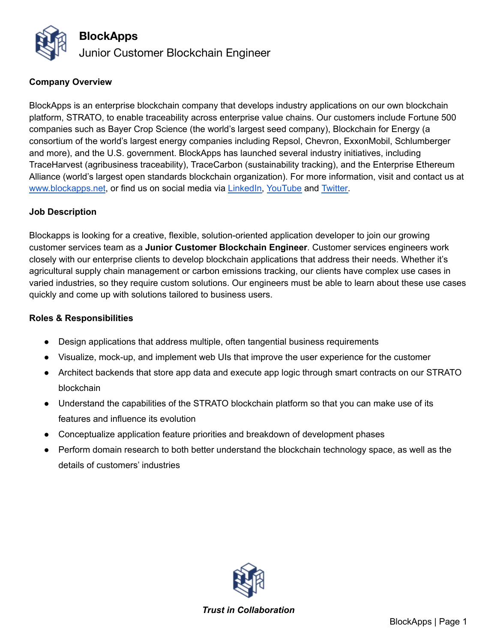

### **Company Overview**

BlockApps is an enterprise blockchain company that develops industry applications on our own blockchain platform, STRATO, to enable traceability across enterprise value chains. Our customers include Fortune 500 companies such as Bayer Crop Science (the world's largest seed company), Blockchain for Energy (a consortium of the world's largest energy companies including Repsol, Chevron, ExxonMobil, Schlumberger and more), and the U.S. government. BlockApps has launched several industry initiatives, including TraceHarvest (agribusiness traceability), TraceCarbon (sustainability tracking), and the Enterprise Ethereum Alliance (world's largest open standards blockchain organization). For more information, visit and contact us at [www.blockapps.net](http://www.blockapps.net), or find us on social media via [LinkedIn,](https://www.linkedin.com/company/10267837/) [YouTube](https://www.youtube.com/channel/UC90KMyw1HFb39da02PjRFjw) and [Twitter.](https://twitter.com/blockapps)

#### **Job Description**

Blockapps is looking for a creative, flexible, solution-oriented application developer to join our growing customer services team as a **Junior Customer Blockchain Engineer**. Customer services engineers work closely with our enterprise clients to develop blockchain applications that address their needs. Whether it's agricultural supply chain management or carbon emissions tracking, our clients have complex use cases in varied industries, so they require custom solutions. Our engineers must be able to learn about these use cases quickly and come up with solutions tailored to business users.

### **Roles & Responsibilities**

- Design applications that address multiple, often tangential business requirements
- Visualize, mock-up, and implement web UIs that improve the user experience for the customer
- Architect backends that store app data and execute app logic through smart contracts on our STRATO blockchain
- Understand the capabilities of the STRATO blockchain platform so that you can make use of its features and influence its evolution
- Conceptualize application feature priorities and breakdown of development phases
- Perform domain research to both better understand the blockchain technology space, as well as the details of customers' industries